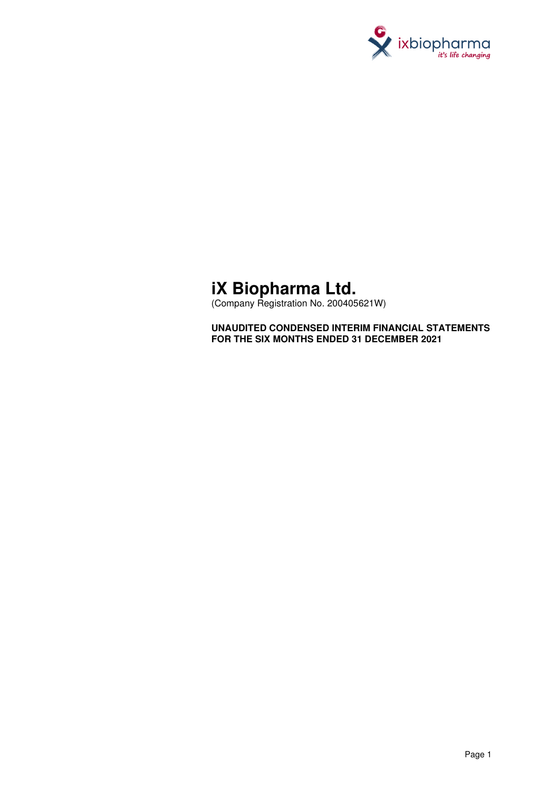

# **iX Biopharma Ltd.**

(Company Registration No. 200405621W)

**UNAUDITED CONDENSED INTERIM FINANCIAL STATEMENTS FOR THE SIX MONTHS ENDED 31 DECEMBER 2021**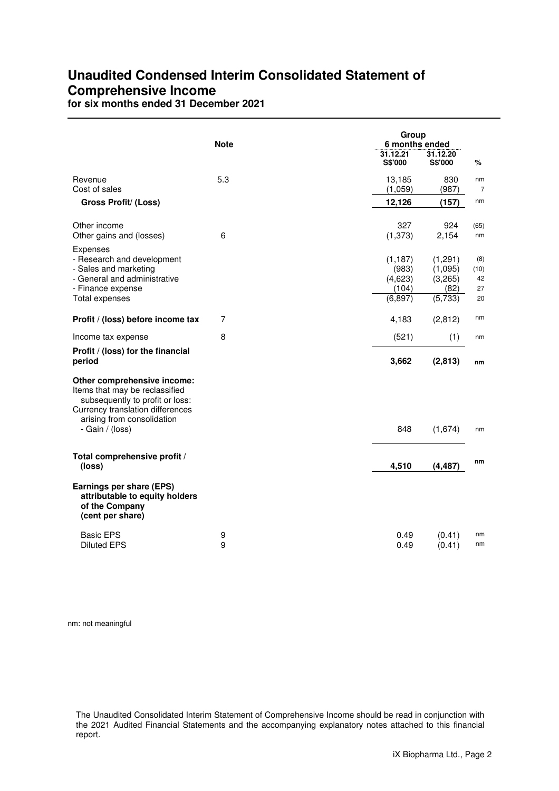## **Unaudited Condensed Interim Consolidated Statement of Comprehensive Income**

**for six months ended 31 December 2021** 

|                                                                                                                                                                                       | <b>Note</b> | Group<br>6 months ended                           |                                                  |                               |
|---------------------------------------------------------------------------------------------------------------------------------------------------------------------------------------|-------------|---------------------------------------------------|--------------------------------------------------|-------------------------------|
|                                                                                                                                                                                       |             | 31.12.21<br><b>S\$'000</b>                        | 31.12.20<br><b>S\$'000</b>                       | ℅                             |
| Revenue<br>Cost of sales                                                                                                                                                              | 5.3         | 13,185<br>(1,059)                                 | 830<br>(987)                                     | nm<br>$\overline{7}$          |
| <b>Gross Profit/ (Loss)</b>                                                                                                                                                           |             | 12,126                                            | (157)                                            | nm                            |
| Other income<br>Other gains and (losses)                                                                                                                                              | 6           | 327<br>(1, 373)                                   | 924<br>2,154                                     | (65)<br>nm                    |
| Expenses<br>- Research and development<br>- Sales and marketing<br>- General and administrative<br>- Finance expense<br>Total expenses                                                |             | (1, 187)<br>(983)<br>(4,623)<br>(104)<br>(6, 897) | (1,291)<br>(1,095)<br>(3,265)<br>(82)<br>(5,733) | (8)<br>(10)<br>42<br>27<br>20 |
| Profit / (loss) before income tax                                                                                                                                                     | 7           | 4,183                                             | (2, 812)                                         | nm                            |
| Income tax expense                                                                                                                                                                    | 8           | (521)                                             | (1)                                              | nm                            |
| Profit / (loss) for the financial<br>period                                                                                                                                           |             | 3,662                                             | (2, 813)                                         | nm                            |
| Other comprehensive income:<br>Items that may be reclassified<br>subsequently to profit or loss:<br>Currency translation differences<br>arising from consolidation<br>- Gain / (loss) |             | 848                                               | (1,674)                                          | nm                            |
| Total comprehensive profit /<br>(loss)                                                                                                                                                |             | 4,510                                             | (4, 487)                                         | nm                            |
| Earnings per share (EPS)<br>attributable to equity holders<br>of the Company<br>(cent per share)                                                                                      |             |                                                   |                                                  |                               |
| <b>Basic EPS</b><br><b>Diluted EPS</b>                                                                                                                                                | 9<br>9      | 0.49<br>0.49                                      | (0.41)<br>(0.41)                                 | nm<br>nm                      |

nm: not meaningful

The Unaudited Consolidated Interim Statement of Comprehensive Income should be read in conjunction with the 2021 Audited Financial Statements and the accompanying explanatory notes attached to this financial report.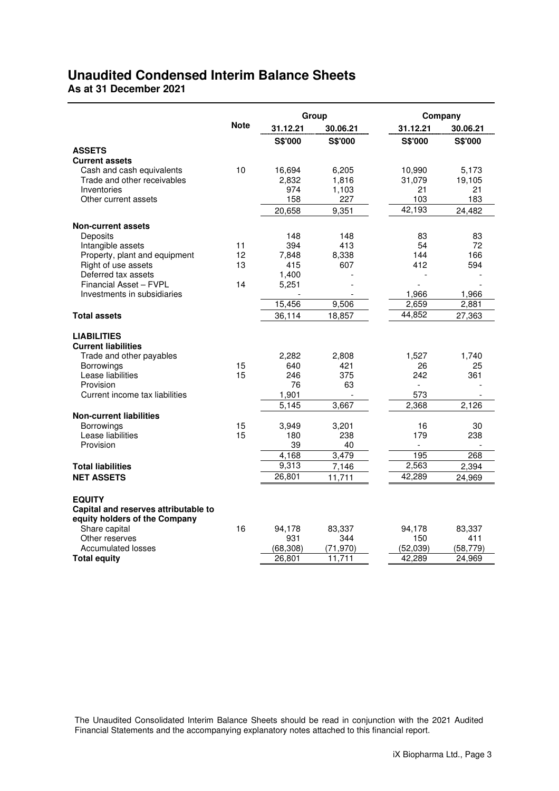## **Unaudited Condensed Interim Balance Sheets**

**As at 31 December 2021** 

|                                                                                        |             | Group       |                 |                | Company  |
|----------------------------------------------------------------------------------------|-------------|-------------|-----------------|----------------|----------|
|                                                                                        | <b>Note</b> | 31.12.21    | 30.06.21        | 31.12.21       | 30.06.21 |
|                                                                                        |             | S\$'000     | S\$'000         | S\$'000        | S\$'000  |
| <b>ASSETS</b>                                                                          |             |             |                 |                |          |
| <b>Current assets</b>                                                                  |             |             |                 |                |          |
| Cash and cash equivalents                                                              | 10          | 16,694      | 6,205           | 10,990         | 5,173    |
| Trade and other receivables                                                            |             | 2,832       | 1,816           | 31,079         | 19,105   |
| Inventories                                                                            |             | 974         | 1,103           | 21             | 21       |
| Other current assets                                                                   |             | 158         | 227             | 103            | 183      |
|                                                                                        |             | 20,658      | 9,351           | 42,193         | 24,482   |
| <b>Non-current assets</b>                                                              |             |             |                 |                |          |
| Deposits                                                                               |             | 148         | 148             | 83             | 83       |
| Intangible assets                                                                      | 11          | 394         | 413             | 54             | 72       |
| Property, plant and equipment                                                          | 12          | 7,848       | 8,338           | 144            | 166      |
| Right of use assets                                                                    | 13          | 415         | 607             | 412            | 594      |
| Deferred tax assets                                                                    |             | 1,400       |                 | ٠              |          |
| Financial Asset - FVPL                                                                 | 14          | 5,251       |                 |                |          |
| Investments in subsidiaries                                                            |             |             |                 | 1,966          | 1,966    |
|                                                                                        |             | 15,456      | 9,506           | 2,659          | 2,881    |
| <b>Total assets</b>                                                                    |             | 36,114      | 18,857          | 44,852         | 27,363   |
| <b>LIABILITIES</b><br><b>Current liabilities</b>                                       |             |             |                 |                |          |
| Trade and other payables                                                               |             | 2,282       | 2,808           | 1,527          | 1,740    |
| Borrowings                                                                             | 15          | 640         | 421             | 26             | 25       |
| Lease liabilities                                                                      | 15          | 246         | 375             | 242            | 361      |
| Provision                                                                              |             | 76          | 63              | $\overline{a}$ |          |
| Current income tax liabilities                                                         |             | 1,901       |                 | 573            |          |
|                                                                                        |             | 5,145       | 3,667           | 2,368          | 2,126    |
| <b>Non-current liabilities</b>                                                         |             |             |                 |                |          |
| Borrowings                                                                             | 15          | 3,949       | 3,201           | 16             | 30       |
| Lease liabilities                                                                      | 15          | 180         | 238             | 179            | 238      |
| Provision                                                                              |             | 39<br>4,168 | 40<br>3,479     | 195            | 268      |
|                                                                                        |             | 9,313       |                 | 2,563          | 2,394    |
| <b>Total liabilities</b>                                                               |             | 26,801      | 7,146<br>11,711 | 42,289         |          |
| <b>NET ASSETS</b>                                                                      |             |             |                 |                | 24.969   |
| <b>EQUITY</b><br>Capital and reserves attributable to<br>equity holders of the Company |             |             |                 |                |          |
| Share capital                                                                          | 16          | 94,178      | 83,337          | 94,178         | 83,337   |
| Other reserves                                                                         |             | 931         | 344             | 150            | 411      |
| <b>Accumulated losses</b>                                                              |             | (68, 308)   | (71, 970)       | (52,039)       | (58,779) |
| <b>Total equity</b>                                                                    |             | 26,801      | 11,711          | 42,289         | 24,969   |

The Unaudited Consolidated Interim Balance Sheets should be read in conjunction with the 2021 Audited Financial Statements and the accompanying explanatory notes attached to this financial report.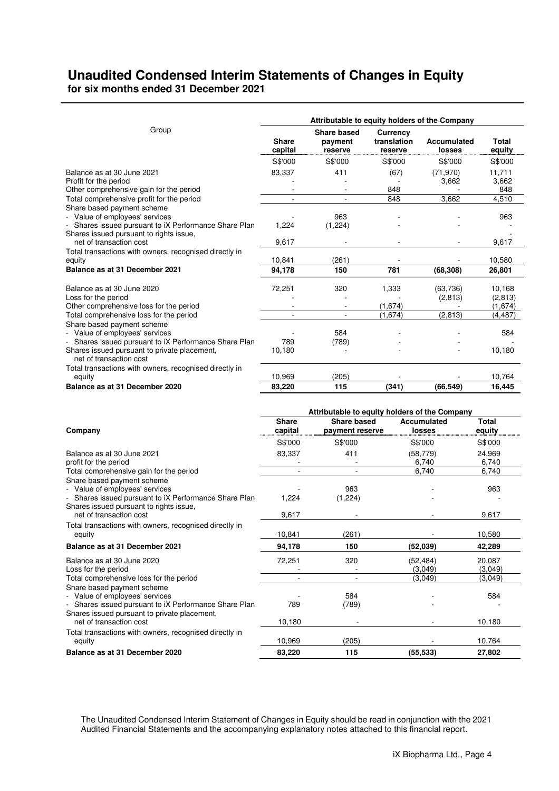## **Unaudited Condensed Interim Statements of Changes in Equity for six months ended 31 December 2021**

|                                                                                                | Attributable to equity holders of the Company |                                               |                                    |                       |                        |  |  |
|------------------------------------------------------------------------------------------------|-----------------------------------------------|-----------------------------------------------|------------------------------------|-----------------------|------------------------|--|--|
| Group                                                                                          | Share<br>capital                              | <b>Share based</b><br>payment<br>reserve      | Currency<br>translation<br>reserve | Accumulated<br>losses | <b>Total</b><br>equity |  |  |
|                                                                                                | S\$'000                                       | S\$'000                                       | S\$'000                            | S\$'000               | S\$'000                |  |  |
| Balance as at 30 June 2021                                                                     | 83,337                                        | 411                                           | (67)                               | (71, 970)             | 11,711                 |  |  |
| Profit for the period                                                                          |                                               |                                               |                                    | 3,662                 | 3,662                  |  |  |
| Other comprehensive gain for the period                                                        |                                               |                                               | 848                                |                       | 848                    |  |  |
| Total comprehensive profit for the period                                                      |                                               |                                               | 848                                | 3,662                 | 4,510                  |  |  |
| Share based payment scheme                                                                     |                                               |                                               |                                    |                       |                        |  |  |
| - Value of employees' services                                                                 |                                               | 963                                           |                                    |                       | 963                    |  |  |
| Shares issued pursuant to iX Performance Share Plan<br>Shares issued pursuant to rights issue, | 1,224                                         | (1,224)                                       |                                    |                       |                        |  |  |
| net of transaction cost                                                                        | 9,617                                         |                                               |                                    |                       | 9,617                  |  |  |
| Total transactions with owners, recognised directly in                                         |                                               |                                               |                                    |                       |                        |  |  |
| equity                                                                                         | 10,841                                        | (261)                                         |                                    |                       | 10,580                 |  |  |
| Balance as at 31 December 2021                                                                 | 94,178                                        | 150                                           | 781                                | (68, 308)             | 26,801                 |  |  |
|                                                                                                |                                               |                                               |                                    |                       |                        |  |  |
| Balance as at 30 June 2020<br>Loss for the period                                              | 72,251                                        | 320                                           | 1,333                              | (63, 736)<br>(2, 813) | 10,168<br>(2, 813)     |  |  |
| Other comprehensive loss for the period                                                        |                                               |                                               | (1,674)                            |                       | (1,674)                |  |  |
| Total comprehensive loss for the period                                                        | ÷.                                            | $\mathbf{r}$                                  | (1,674)                            | (2, 813)              | (4, 487)               |  |  |
| Share based payment scheme                                                                     |                                               |                                               |                                    |                       |                        |  |  |
| Value of employees' services                                                                   |                                               | 584                                           |                                    |                       | 584                    |  |  |
| - Shares issued pursuant to iX Performance Share Plan                                          | 789                                           | (789)                                         |                                    |                       |                        |  |  |
| Shares issued pursuant to private placement,                                                   | 10,180                                        |                                               |                                    |                       | 10,180                 |  |  |
| net of transaction cost                                                                        |                                               |                                               |                                    |                       |                        |  |  |
| Total transactions with owners, recognised directly in<br>equity                               | 10,969                                        | (205)                                         |                                    |                       | 10,764                 |  |  |
| Balance as at 31 December 2020                                                                 | 83,220                                        | 115                                           | (341)                              | (66, 549)             | 16,445                 |  |  |
|                                                                                                |                                               |                                               |                                    |                       |                        |  |  |
|                                                                                                |                                               | Attributable to equity holders of the Company |                                    |                       |                        |  |  |
|                                                                                                | <b>Share</b>                                  | <b>Share based</b>                            |                                    | <b>Accumulated</b>    | <b>Total</b>           |  |  |
| Company                                                                                        | capital                                       | payment reserve                               |                                    | losses                | equity                 |  |  |
|                                                                                                | S\$'000                                       | S\$'000                                       |                                    | S\$'000               | S\$'000                |  |  |
| Balance as at 30 June 2021                                                                     | 83,337                                        | 411                                           |                                    | (58, 779)             | 24,969                 |  |  |
| profit for the period                                                                          |                                               |                                               |                                    | 6,740                 | 6,740                  |  |  |
| Total comprehensive gain for the period                                                        | $\sim$                                        | $\sim$                                        |                                    | 6.740                 | 6,740                  |  |  |
| Share based payment scheme                                                                     |                                               |                                               |                                    |                       |                        |  |  |
| - Value of employees' services                                                                 | 1,224                                         | 963                                           |                                    |                       | 963                    |  |  |
| Shares issued pursuant to iX Performance Share Plan<br>Shares issued pursuant to rights issue, |                                               | (1,224)                                       |                                    |                       |                        |  |  |
| net of transaction cost                                                                        | 9.617                                         |                                               |                                    |                       | 9,617                  |  |  |

Total transactions with owners, recognised directly in equity 10,580 and 10,580 and 10,580 and 10,580 and 10,580 and 10,580 and 10,580 and 10,580 and 10,580 and 10,580 and 10,580 and 10,580 and 10,580 and 10,580 and 10,580 and 10,580 and 10,580 and 10,580 and 10,580 and 10,580 **Balance as at 31 December 2021 94,178 150 (52,039) 42,289**

Balance as at 30 June 2020 <br>
Loss for the period (3,049) 20,087<br>
(3,049) 320 (52,484) 20,087<br>
(3,049) 320 (52,484) 20,087 Loss for the period Total comprehensive loss for the period and the set of the period of the set of the period of the set of the set of the set of the set of the set of the set of the set of the set of the set of the set of the set of the set Share based payment scheme Value of employees' services<br>
Shares issued pursuant to iX Performance Share Plan 589 (789) - Shares issued pursuant to iX Performance Share Plan Shares issued pursuant to private placement, net of transaction cost 10,180 - 10,180 - 10,180 - 10,180 - 10,180 - 10,180 - 10,180 - 10,180 - 10,180 - 10,180 Total transactions with owners, recognised directly in equity 10,969 (205) - 10,764 **Balance as at 31 December 2020 83,220 115 (55,533) 27,802** 

The Unaudited Condensed Interim Statement of Changes in Equity should be read in conjunction with the 2021 Audited Financial Statements and the accompanying explanatory notes attached to this financial report.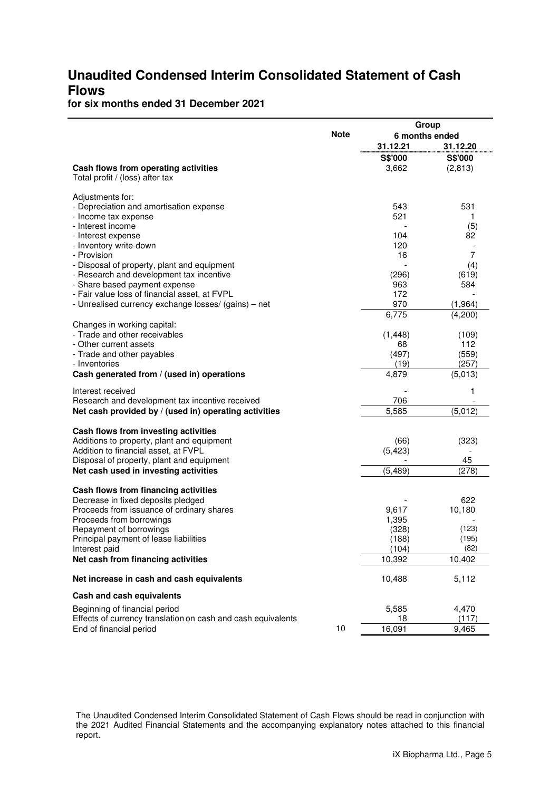## **Unaudited Condensed Interim Consolidated Statement of Cash Flows**

## **for six months ended 31 December 2021**

|                                                                                 |             | Group          |                |  |  |
|---------------------------------------------------------------------------------|-------------|----------------|----------------|--|--|
|                                                                                 | <b>Note</b> | 6 months ended |                |  |  |
|                                                                                 |             | 31.12.21       | 31.12.20       |  |  |
|                                                                                 |             | S\$'000        | S\$'000        |  |  |
| Cash flows from operating activities                                            |             | 3,662          | (2, 813)       |  |  |
| Total profit / (loss) after tax                                                 |             |                |                |  |  |
|                                                                                 |             |                |                |  |  |
| Adjustments for:<br>- Depreciation and amortisation expense                     |             | 543            | 531            |  |  |
| - Income tax expense                                                            |             | 521            | 1              |  |  |
| - Interest income                                                               |             |                | (5)            |  |  |
| - Interest expense                                                              |             | 104            | 82             |  |  |
| - Inventory write-down                                                          |             | 120            |                |  |  |
| - Provision                                                                     |             | 16             | $\overline{7}$ |  |  |
| - Disposal of property, plant and equipment                                     |             |                | (4)            |  |  |
| - Research and development tax incentive                                        |             | (296)          | (619)          |  |  |
| - Share based payment expense                                                   |             | 963            | 584            |  |  |
| - Fair value loss of financial asset, at FVPL                                   |             | 172            |                |  |  |
| - Unrealised currency exchange losses/ (gains) - net                            |             | 970            | (1, 964)       |  |  |
|                                                                                 |             | 6,775          | (4,200)        |  |  |
| Changes in working capital:                                                     |             |                |                |  |  |
| - Trade and other receivables                                                   |             | (1, 448)       | (109)          |  |  |
| - Other current assets                                                          |             | 68             | 112            |  |  |
| - Trade and other payables                                                      |             | (497)          | (559)          |  |  |
| - Inventories                                                                   |             | (19)           | (257)          |  |  |
| Cash generated from / (used in) operations                                      |             | 4,879          | (5,013)        |  |  |
| Interest received                                                               |             |                | 1              |  |  |
| Research and development tax incentive received                                 |             | 706            |                |  |  |
| Net cash provided by / (used in) operating activities                           |             | 5,585          | (5,012)        |  |  |
|                                                                                 |             |                |                |  |  |
| Cash flows from investing activities                                            |             |                |                |  |  |
| Additions to property, plant and equipment                                      |             | (66)           | (323)          |  |  |
| Addition to financial asset, at FVPL                                            |             | (5, 423)       |                |  |  |
| Disposal of property, plant and equipment                                       |             |                | 45             |  |  |
| Net cash used in investing activities                                           |             | (5, 489)       | (278)          |  |  |
|                                                                                 |             |                |                |  |  |
| Cash flows from financing activities                                            |             |                |                |  |  |
| Decrease in fixed deposits pledged<br>Proceeds from issuance of ordinary shares |             | 9,617          | 622<br>10,180  |  |  |
| Proceeds from borrowings                                                        |             | 1,395          |                |  |  |
| Repayment of borrowings                                                         |             | (328)          | (123)          |  |  |
| Principal payment of lease liabilities                                          |             | (188)          | (195)          |  |  |
| Interest paid                                                                   |             | (104)          | (82)           |  |  |
| Net cash from financing activities                                              |             | 10,392         | 10,402         |  |  |
|                                                                                 |             |                |                |  |  |
| Net increase in cash and cash equivalents                                       |             | 10,488         | 5,112          |  |  |
| Cash and cash equivalents                                                       |             |                |                |  |  |
| Beginning of financial period                                                   |             | 5,585          | 4,470          |  |  |
| Effects of currency translation on cash and cash equivalents                    |             | 18             | (117)          |  |  |
| End of financial period                                                         | 10          | 16,091         | 9,465          |  |  |

The Unaudited Condensed Interim Consolidated Statement of Cash Flows should be read in conjunction with the 2021 Audited Financial Statements and the accompanying explanatory notes attached to this financial report.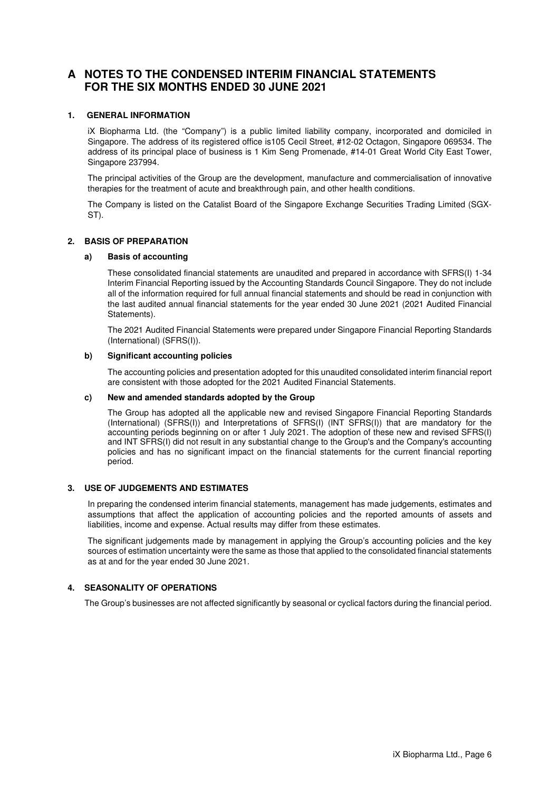### **A NOTES TO THE CONDENSED INTERIM FINANCIAL STATEMENTS FOR THE SIX MONTHS ENDED 30 JUNE 2021**

#### **1. GENERAL INFORMATION**

iX Biopharma Ltd. (the "Company") is a public limited liability company, incorporated and domiciled in Singapore. The address of its registered office is105 Cecil Street, #12-02 Octagon, Singapore 069534. The address of its principal place of business is 1 Kim Seng Promenade, #14-01 Great World City East Tower, Singapore 237994.

The principal activities of the Group are the development, manufacture and commercialisation of innovative therapies for the treatment of acute and breakthrough pain, and other health conditions.

The Company is listed on the Catalist Board of the Singapore Exchange Securities Trading Limited (SGX-ST).

#### **2. BASIS OF PREPARATION**

#### **a) Basis of accounting**

These consolidated financial statements are unaudited and prepared in accordance with SFRS(I) 1-34 Interim Financial Reporting issued by the Accounting Standards Council Singapore. They do not include all of the information required for full annual financial statements and should be read in conjunction with the last audited annual financial statements for the year ended 30 June 2021 (2021 Audited Financial Statements).

The 2021 Audited Financial Statements were prepared under Singapore Financial Reporting Standards (International) (SFRS(I)).

#### **b) Significant accounting policies**

The accounting policies and presentation adopted for this unaudited consolidated interim financial report are consistent with those adopted for the 2021 Audited Financial Statements.

#### **c) New and amended standards adopted by the Group**

The Group has adopted all the applicable new and revised Singapore Financial Reporting Standards (International) (SFRS(I)) and Interpretations of SFRS(I) (INT SFRS(I)) that are mandatory for the accounting periods beginning on or after 1 July 2021. The adoption of these new and revised SFRS(I) and INT SFRS(I) did not result in any substantial change to the Group's and the Company's accounting policies and has no significant impact on the financial statements for the current financial reporting period.

#### **3. USE OF JUDGEMENTS AND ESTIMATES**

In preparing the condensed interim financial statements, management has made judgements, estimates and assumptions that affect the application of accounting policies and the reported amounts of assets and liabilities, income and expense. Actual results may differ from these estimates.

The significant judgements made by management in applying the Group's accounting policies and the key sources of estimation uncertainty were the same as those that applied to the consolidated financial statements as at and for the year ended 30 June 2021.

#### **4. SEASONALITY OF OPERATIONS**

The Group's businesses are not affected significantly by seasonal or cyclical factors during the financial period.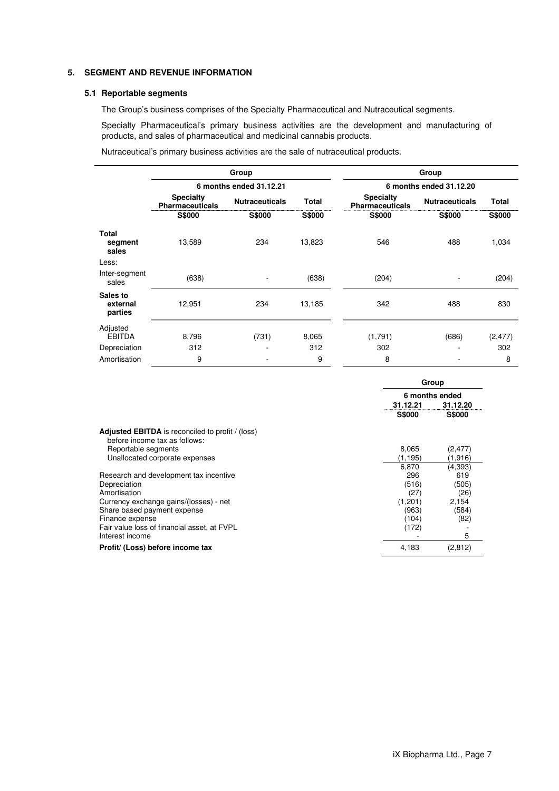#### **5. SEGMENT AND REVENUE INFORMATION**

#### **5.1 Reportable segments**

The Group's business comprises of the Specialty Pharmaceutical and Nutraceutical segments.

Specialty Pharmaceutical's primary business activities are the development and manufacturing of products, and sales of pharmaceutical and medicinal cannabis products.

Nutraceutical's primary business activities are the sale of nutraceutical products.

|                                 |                                            | Group                   |               |                                            | Group                   |               |
|---------------------------------|--------------------------------------------|-------------------------|---------------|--------------------------------------------|-------------------------|---------------|
|                                 |                                            | 6 months ended 31.12.21 |               |                                            | 6 months ended 31.12.20 |               |
|                                 | <b>Specialty</b><br><b>Pharmaceuticals</b> | <b>Nutraceuticals</b>   | Total         | <b>Specialty</b><br><b>Pharmaceuticals</b> | <b>Nutraceuticals</b>   | Total         |
|                                 | <b>S\$000</b>                              | <b>S\$000</b>           | <b>S\$000</b> | <b>S\$000</b>                              | <b>S\$000</b>           | <b>S\$000</b> |
| Total<br>segment<br>sales       | 13,589                                     | 234                     | 13,823        | 546                                        | 488                     | 1,034         |
| Less:                           |                                            |                         |               |                                            |                         |               |
| Inter-segment<br>sales          | (638)                                      |                         | (638)         | (204)                                      |                         | (204)         |
| Sales to<br>external<br>parties | 12,951                                     | 234                     | 13,185        | 342                                        | 488                     | 830           |
| Adjusted<br><b>EBITDA</b>       | 8,796                                      | (731)                   | 8,065         | (1,791)                                    | (686)                   | (2, 477)      |
| Depreciation                    | 312                                        |                         | 312           | 302                                        |                         | 302           |
| Amortisation                    | 9                                          |                         | 9             | 8                                          |                         | 8             |

|                                                                                          | Group          |               |  |
|------------------------------------------------------------------------------------------|----------------|---------------|--|
|                                                                                          | 6 months ended |               |  |
|                                                                                          | 31.12.21       | 31.12.20      |  |
|                                                                                          | <b>S\$000</b>  | <b>S\$000</b> |  |
| <b>Adjusted EBITDA</b> is reconciled to profit / (loss)<br>before income tax as follows: |                |               |  |
| Reportable segments                                                                      | 8,065          | (2,477)       |  |
| Unallocated corporate expenses                                                           | (1, 195)       | (1,916)       |  |
|                                                                                          | 6,870          | (4, 393)      |  |
| Research and development tax incentive                                                   | 296            | 619           |  |
| Depreciation                                                                             | (516)          | (505)         |  |
| Amortisation                                                                             | (27)           | (26)          |  |
| Currency exchange gains/(losses) - net                                                   | (1,201)        | 2,154         |  |
| Share based payment expense                                                              | (963)          | (584)         |  |
| Finance expense                                                                          | (104)          | (82)          |  |
| Fair value loss of financial asset, at FVPL                                              | (172)          |               |  |
| Interest income                                                                          |                | 5             |  |
| Profit/ (Loss) before income tax                                                         | 4,183          | (2,812)       |  |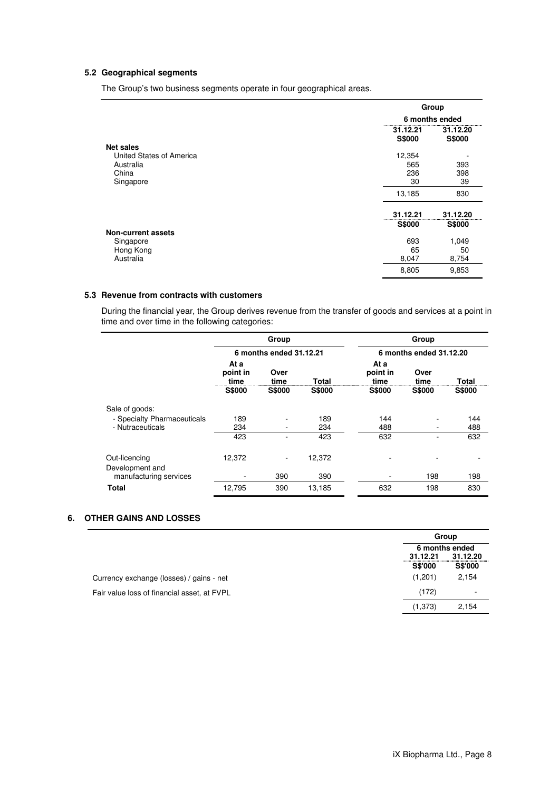#### **5.2 Geographical segments**

The Group's two business segments operate in four geographical areas.

|                                              |                           | Group              |
|----------------------------------------------|---------------------------|--------------------|
|                                              |                           | 6 months ended     |
|                                              | 31.12.21<br><b>S\$000</b> | 31.12.20<br>S\$000 |
| <b>Net sales</b><br>United States of America | 12,354                    |                    |
| Australia                                    | 565                       | 393                |
| China                                        | 236                       | 398                |
| Singapore                                    | 30                        | 39                 |
|                                              | 13,185                    | 830                |
|                                              | 31.12.21                  | 31.12.20           |
|                                              | <b>S\$000</b>             | <b>S\$000</b>      |
| <b>Non-current assets</b>                    |                           |                    |
| Singapore                                    | 693                       | 1,049              |
| Hong Kong                                    | 65                        | 50                 |
| Australia                                    | 8,047                     | 8,754              |
|                                              | 8,805                     | 9,853              |

#### **5.3 Revenue from contracts with customers**

During the financial year, the Group derives revenue from the transfer of goods and services at a point in time and over time in the following categories:

|                                  |                          | Group                    |               |                         | Group                    |               |               |
|----------------------------------|--------------------------|--------------------------|---------------|-------------------------|--------------------------|---------------|---------------|
|                                  |                          | 6 months ended 31.12.21  |               | 6 months ended 31.12.20 |                          |               |               |
|                                  | At a<br>point in<br>time | Over<br>time             | <b>Total</b>  |                         | At a<br>point in<br>time | Over<br>time  | Total         |
|                                  | <b>S\$000</b>            | <b>S\$000</b>            | <b>S\$000</b> |                         | <b>S\$000</b>            | <b>S\$000</b> | <b>S\$000</b> |
| Sale of goods:                   |                          |                          |               |                         |                          |               |               |
| - Specialty Pharmaceuticals      | 189                      | ۰                        | 189           |                         | 144                      |               | 144           |
| - Nutraceuticals                 | 234                      | ۰                        | 234           |                         | 488                      |               | 488           |
|                                  | 423                      |                          | 423           |                         | 632                      |               | 632           |
| Out-licencing<br>Development and | 12,372                   | $\overline{\phantom{a}}$ | 12,372        |                         |                          |               |               |
| manufacturing services           |                          | 390                      | 390           |                         |                          | 198           | 198           |
| <b>Total</b>                     | 12,795                   | 390                      | 13,185        |                         | 632                      | 198           | 830           |

#### **6. OTHER GAINS AND LOSSES**

|                                             |                            | Group                      |  |
|---------------------------------------------|----------------------------|----------------------------|--|
|                                             | 6 months ended             |                            |  |
|                                             | 31.12.21<br><b>S\$'000</b> | 31.12.20<br><b>S\$'000</b> |  |
| Currency exchange (losses) / gains - net    | (1,201)                    | 2,154                      |  |
| Fair value loss of financial asset, at FVPL | (172)                      | ۰                          |  |
|                                             | (1, 373)                   | 2.154                      |  |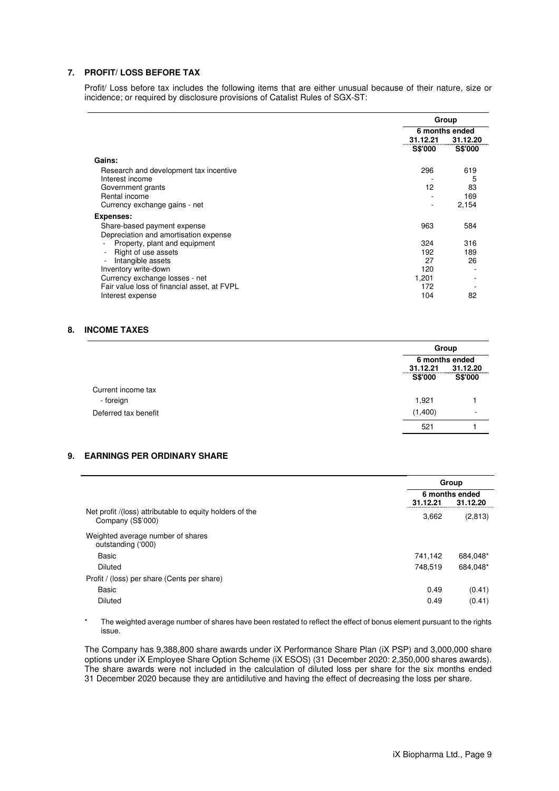#### **7. PROFIT/ LOSS BEFORE TAX**

Profit/ Loss before tax includes the following items that are either unusual because of their nature, size or incidence; or required by disclosure provisions of Catalist Rules of SGX-ST:

|                                             | Group          |                |  |
|---------------------------------------------|----------------|----------------|--|
|                                             | 6 months ended |                |  |
|                                             | 31.12.21       | 31.12.20       |  |
|                                             | <b>S\$'000</b> | <b>S\$'000</b> |  |
| Gains:                                      |                |                |  |
| Research and development tax incentive      | 296            | 619            |  |
| Interest income                             |                | 5              |  |
| Government grants                           | 12             | 83             |  |
| Rental income                               |                | 169            |  |
| Currency exchange gains - net               |                | 2,154          |  |
| Expenses:                                   |                |                |  |
| Share-based payment expense                 | 963            | 584            |  |
| Depreciation and amortisation expense       |                |                |  |
| Property, plant and equipment               | 324            | 316            |  |
| Right of use assets                         | 192            | 189            |  |
| Intangible assets                           | 27             | 26             |  |
| Inventory write-down                        | 120            |                |  |
| Currency exchange losses - net              | 1,201          |                |  |
| Fair value loss of financial asset, at FVPL | 172            |                |  |
| Interest expense                            | 104            | 82             |  |

#### **8. INCOME TAXES**

|                      |                | Group                      |  |
|----------------------|----------------|----------------------------|--|
|                      | 31.12.21       | 6 months ended<br>31.12.20 |  |
|                      | <b>S\$'000</b> | S\$'000                    |  |
| Current income tax   |                |                            |  |
| - foreign            | 1,921          |                            |  |
| Deferred tax benefit | (1,400)        |                            |  |
|                      | 521            |                            |  |

#### **9. EARNINGS PER ORDINARY SHARE**

|                                                                               |          | Group                      |
|-------------------------------------------------------------------------------|----------|----------------------------|
|                                                                               | 31.12.21 | 6 months ended<br>31.12.20 |
| Net profit /(loss) attributable to equity holders of the<br>Company (S\$'000) | 3,662    | (2,813)                    |
| Weighted average number of shares<br>outstanding ('000)                       |          |                            |
| Basic                                                                         | 741,142  | 684,048*                   |
| Diluted                                                                       | 748.519  | 684.048*                   |
| Profit / (loss) per share (Cents per share)                                   |          |                            |
| Basic                                                                         | 0.49     | (0.41)                     |
| Diluted                                                                       | 0.49     | (0.41)                     |

\* The weighted average number of shares have been restated to reflect the effect of bonus element pursuant to the rights issue.

The Company has 9,388,800 share awards under iX Performance Share Plan (iX PSP) and 3,000,000 share options under iX Employee Share Option Scheme (iX ESOS) (31 December 2020: 2,350,000 shares awards). The share awards were not included in the calculation of diluted loss per share for the six months ended 31 December 2020 because they are antidilutive and having the effect of decreasing the loss per share.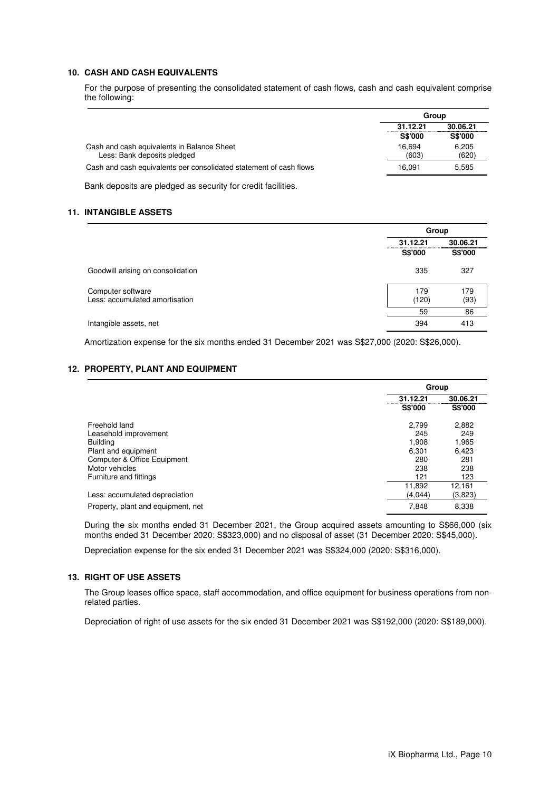#### **10. CASH AND CASH EQUIVALENTS**

For the purpose of presenting the consolidated statement of cash flows, cash and cash equivalent comprise the following:

|                                                                           | Group                      |                            |
|---------------------------------------------------------------------------|----------------------------|----------------------------|
|                                                                           | 31.12.21<br><b>S\$'000</b> | 30.06.21<br><b>S\$'000</b> |
| Cash and cash equivalents in Balance Sheet<br>Less: Bank deposits pledged | 16.694<br>(603)            | 6.205<br>(620)             |
| Cash and cash equivalents per consolidated statement of cash flows        | 16.091                     | 5.585                      |
|                                                                           |                            |                            |

Bank deposits are pledged as security for credit facilities.

#### **11. INTANGIBLE ASSETS**

|                                                     | Group                |                |
|-----------------------------------------------------|----------------------|----------------|
|                                                     | 30.06.21<br>31.12.21 |                |
|                                                     | <b>S\$'000</b>       | <b>S\$'000</b> |
| Goodwill arising on consolidation                   | 335                  | 327            |
| Computer software<br>Less: accumulated amortisation | 179<br>(120)         | 179<br>(93)    |
|                                                     | 59                   | 86             |
| Intangible assets, net                              | 394                  | 413            |

Amortization expense for the six months ended 31 December 2021 was S\$27,000 (2020: S\$26,000).

#### **12. PROPERTY, PLANT AND EQUIPMENT**

|                                    | Group          |                |
|------------------------------------|----------------|----------------|
|                                    | 31.12.21       | 30.06.21       |
|                                    | <b>S\$'000</b> | <b>S\$'000</b> |
| Freehold land                      | 2.799          | 2.882          |
| Leasehold improvement              | 245            | 249            |
| <b>Building</b>                    | 1.908          | 1.965          |
| Plant and equipment                | 6,301          | 6,423          |
| Computer & Office Equipment        | 280            | 281            |
| Motor vehicles                     | 238            | 238            |
| Furniture and fittings             | 121            | 123            |
|                                    | 11,892         | 12,161         |
| Less: accumulated depreciation     | (4,044)        | (3,823)        |
| Property, plant and equipment, net | 7.848          | 8,338          |

During the six months ended 31 December 2021, the Group acquired assets amounting to S\$66,000 (six months ended 31 December 2020: S\$323,000) and no disposal of asset (31 December 2020: S\$45,000).

Depreciation expense for the six ended 31 December 2021 was S\$324,000 (2020: S\$316,000).

#### **13. RIGHT OF USE ASSETS**

The Group leases office space, staff accommodation, and office equipment for business operations from nonrelated parties.

Depreciation of right of use assets for the six ended 31 December 2021 was S\$192,000 (2020: S\$189,000).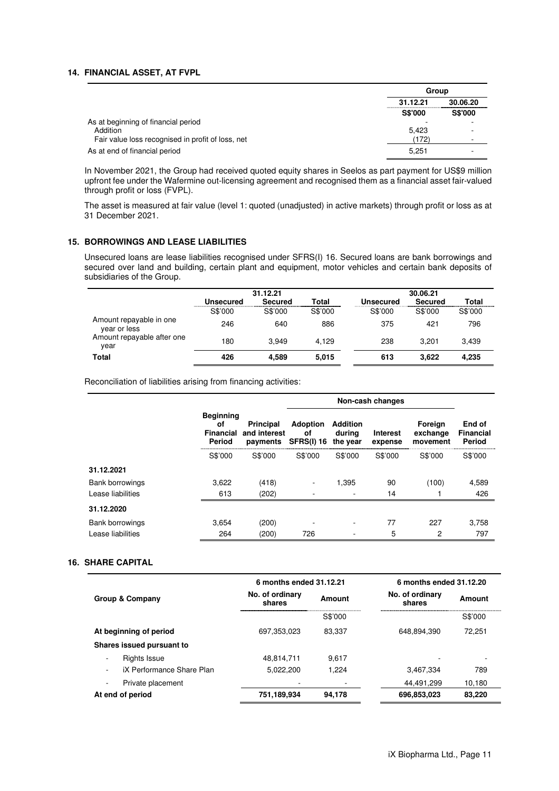#### **14. FINANCIAL ASSET, AT FVPL**

|                                                   | Group          |                |
|---------------------------------------------------|----------------|----------------|
|                                                   | 31.12.21       | 30.06.20       |
|                                                   | <b>S\$'000</b> | <b>S\$'000</b> |
| As at beginning of financial period               |                |                |
| Addition                                          | 5.423          |                |
| Fair value loss recognised in profit of loss, net | (172)          |                |
| As at end of financial period                     | 5.251          |                |

In November 2021, the Group had received quoted equity shares in Seelos as part payment for US\$9 million upfront fee under the Wafermine out-licensing agreement and recognised them as a financial asset fair-valued through profit or loss (FVPL).

The asset is measured at fair value (level 1: quoted (unadjusted) in active markets) through profit or loss as at 31 December 2021.

#### **15. BORROWINGS AND LEASE LIABILITIES**

Unsecured loans are lease liabilities recognised under SFRS(I) 16. Secured loans are bank borrowings and secured over land and building, certain plant and equipment, motor vehicles and certain bank deposits of subsidiaries of the Group.

|                                         | 31.12.21  |         |         | 30.06.21  |                |         |
|-----------------------------------------|-----------|---------|---------|-----------|----------------|---------|
|                                         | Unsecured | Secured | Total   | Unsecured | <b>Secured</b> | Total   |
|                                         | S\$'000   | S\$'000 | S\$'000 | S\$'000   | S\$'000        | S\$'000 |
| Amount repayable in one<br>year or less | 246       | 640     | 886     | 375       | 421            | 796     |
| Amount repayable after one<br>year      | 180       | 3.949   | 4.129   | 238       | 3.201          | 3.439   |
| Total                                   | 426       | 4.589   | 5,015   | 613       | 3.622          | 4.235   |

Reconciliation of liabilities arising from financing activities:

|                        |                                                      |                                              | Non-cash changes                           |                                       |                            |                                 |                                      |
|------------------------|------------------------------------------------------|----------------------------------------------|--------------------------------------------|---------------------------------------|----------------------------|---------------------------------|--------------------------------------|
|                        | <b>Beginning</b><br>οf<br><b>Financial</b><br>Period | <b>Principal</b><br>and interest<br>payments | <b>Adoption</b><br>οf<br><b>SFRS(I) 16</b> | <b>Addition</b><br>during<br>the year | <b>Interest</b><br>expense | Foreign<br>exchange<br>movement | End of<br><b>Financial</b><br>Period |
|                        | S\$'000                                              | S\$'000                                      | S\$'000                                    | S\$'000                               | S\$'000                    | S\$'000                         | S\$'000                              |
| 31.12.2021             |                                                      |                                              |                                            |                                       |                            |                                 |                                      |
| <b>Bank borrowings</b> | 3,622                                                | (418)                                        | ۰                                          | 1,395                                 | 90                         | (100)                           | 4,589                                |
| Lease liabilities      | 613                                                  | (202)                                        |                                            |                                       | 14                         |                                 | 426                                  |
| 31.12.2020             |                                                      |                                              |                                            |                                       |                            |                                 |                                      |
| <b>Bank borrowings</b> | 3,654                                                | (200)                                        | ٠                                          | ۰                                     | 77                         | 227                             | 3.758                                |
| Lease liabilities      | 264                                                  | (200)                                        | 726                                        |                                       | 5                          | 2                               | 797                                  |

#### **16. SHARE CAPITAL**

|                           | 6 months ended 31.12.21   |         | 6 months ended 31.12.20   |         |
|---------------------------|---------------------------|---------|---------------------------|---------|
| Group & Company           | No. of ordinary<br>shares | Amount  | No. of ordinary<br>shares | Amount  |
|                           |                           | S\$'000 |                           | S\$'000 |
| At beginning of period    | 697.353.023               | 83.337  | 648,894,390               | 72.251  |
| Shares issued pursuant to |                           |         |                           |         |
| Rights Issue              | 48.814.711                | 9.617   |                           | ۰       |
| iX Performance Share Plan | 5.022.200                 | 1.224   | 3.467.334                 | 789     |
| Private placement         |                           |         | 44.491.299                | 10.180  |
| At end of period          | 751,189,934               | 94,178  | 696,853,023               | 83,220  |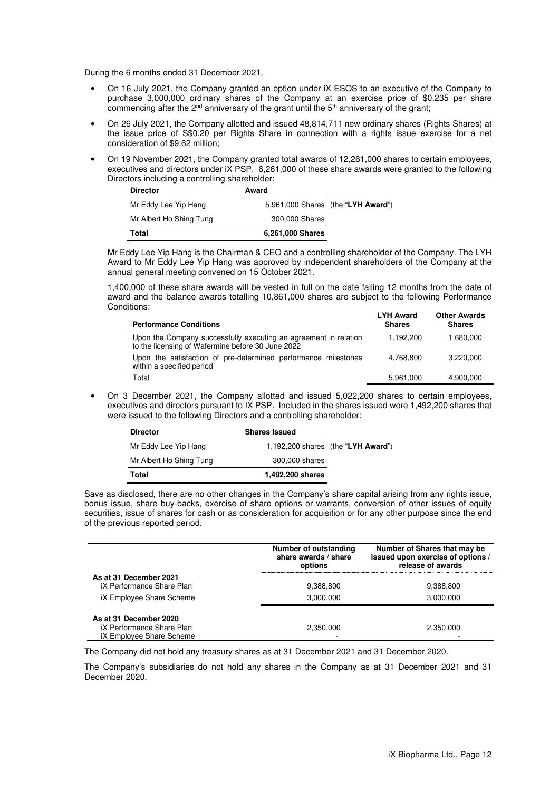During the 6 months ended 31 December 2021,

- On 16 July 2021, the Company granted an option under iX ESOS to an executive of the Company to purchase 3,000,000 ordinary shares of the Company at an exercise price of \$0.235 per share commencing after the 2<sup>nd</sup> anniversary of the grant until the 5<sup>th</sup> anniversary of the grant;
- On 26 July 2021, the Company allotted and issued 48,814,711 new ordinary shares (Rights Shares) at the issue price of S\$0.20 per Rights Share in connection with a rights issue exercise for a net consideration of \$9.62 million;
- On 19 November 2021, the Company granted total awards of 12,261,000 shares to certain employees, executives and directors under iX PSP. 6,261,000 of these share awards were granted to the following Directors including a controlling shareholder:

| <b>Director</b>         | Award            |                                    |
|-------------------------|------------------|------------------------------------|
| Mr Eddy Lee Yip Hang    |                  | 5,961,000 Shares (the "LYH Award") |
| Mr Albert Ho Shing Tung | 300,000 Shares   |                                    |
| Total                   | 6,261,000 Shares |                                    |

Mr Eddy Lee Yip Hang is the Chairman & CEO and a controlling shareholder of the Company. The LYH Award to Mr Eddy Lee Yip Hang was approved by independent shareholders of the Company at the annual general meeting convened on 15 October 2021.

1,400,000 of these share awards will be vested in full on the date falling 12 months from the date of award and the balance awards totalling 10,861,000 shares are subject to the following Performance Conditions:

| <b>Performance Conditions</b>                                                                                         | <b>LYH Award</b><br><b>Shares</b> | <b>Other Awards</b><br><b>Shares</b> |
|-----------------------------------------------------------------------------------------------------------------------|-----------------------------------|--------------------------------------|
| Upon the Company successfully executing an agreement in relation<br>to the licensing of Wafermine before 30 June 2022 | 1.192.200                         | 1,680,000                            |
| Upon the satisfaction of pre-determined performance milestones<br>within a specified period                           | 4.768.800                         | 3.220.000                            |
| Total                                                                                                                 | 5,961,000                         | 4,900,000                            |

• On 3 December 2021, the Company allotted and issued 5,022,200 shares to certain employees, executives and directors pursuant to IX PSP. Included in the shares issued were 1,492,200 shares that were issued to the following Directors and a controlling shareholder:

| <b>Director</b>         | <b>Shares Issued</b> |                                    |
|-------------------------|----------------------|------------------------------------|
| Mr Eddy Lee Yip Hang    |                      | 1,192,200 shares (the "LYH Award") |
| Mr Albert Ho Shing Tung | 300,000 shares       |                                    |
| Total                   | 1,492,200 shares     |                                    |

Save as disclosed, there are no other changes in the Company's share capital arising from any rights issue, bonus issue, share buy-backs, exercise of share options or warrants, conversion of other issues of equity securities, issue of shares for cash or as consideration for acquisition or for any other purpose since the end of the previous reported period.

|                                                                                 | Number of outstanding<br>share awards / share<br>options | Number of Shares that may be<br>issued upon exercise of options /<br>release of awards |
|---------------------------------------------------------------------------------|----------------------------------------------------------|----------------------------------------------------------------------------------------|
| As at 31 December 2021<br>iX Performance Share Plan                             | 9,388,800                                                | 9,388,800                                                                              |
| iX Employee Share Scheme                                                        | 3,000,000                                                | 3,000,000                                                                              |
| As at 31 December 2020<br>iX Performance Share Plan<br>iX Employee Share Scheme | 2.350.000                                                | 2,350,000                                                                              |

The Company did not hold any treasury shares as at 31 December 2021 and 31 December 2020.

The Company's subsidiaries do not hold any shares in the Company as at 31 December 2021 and 31 December 2020.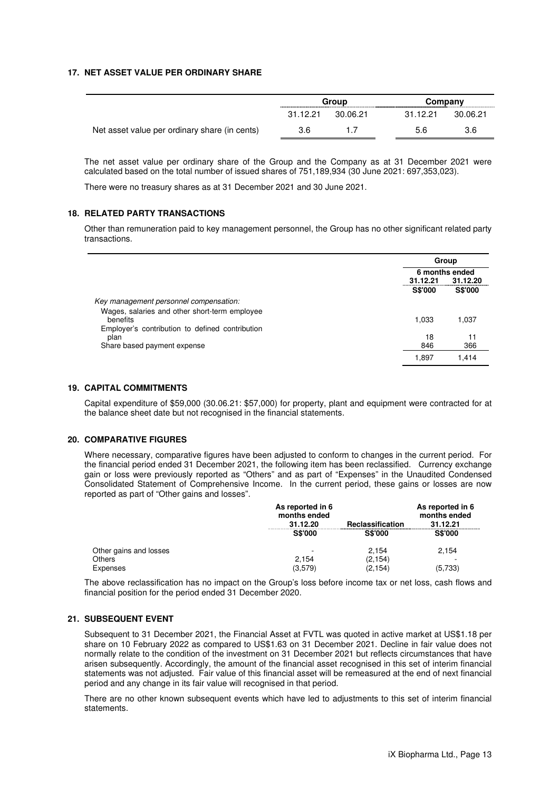#### **17. NET ASSET VALUE PER ORDINARY SHARE**

|                                               | Group    |          | Company  |          |
|-----------------------------------------------|----------|----------|----------|----------|
|                                               | 31.12.21 | 30.06.21 | 31 12 21 | 30.06.21 |
| Net asset value per ordinary share (in cents) | 3.6      |          | 5.6      | 3.6      |

The net asset value per ordinary share of the Group and the Company as at 31 December 2021 were calculated based on the total number of issued shares of 751,189,934 (30 June 2021: 697,353,023).

There were no treasury shares as at 31 December 2021 and 30 June 2021.

#### **18. RELATED PARTY TRANSACTIONS**

Other than remuneration paid to key management personnel, the Group has no other significant related party transactions.

|                                                 | Group          |                |
|-------------------------------------------------|----------------|----------------|
|                                                 | 6 months ended |                |
|                                                 | 31.12.21       | 31.12.20       |
|                                                 | <b>S\$'000</b> | <b>S\$'000</b> |
| Key management personnel compensation.          |                |                |
| Wages, salaries and other short-term employee   |                |                |
| benefits                                        | 1.033          | 1,037          |
| Employer's contribution to defined contribution |                |                |
| plan                                            | 18             | 11             |
| Share based payment expense                     | 846            | 366            |
|                                                 | 1,897          | 1.414          |

#### **19. CAPITAL COMMITMENTS**

Capital expenditure of \$59,000 (30.06.21: \$57,000) for property, plant and equipment were contracted for at the balance sheet date but not recognised in the financial statements.

#### **20. COMPARATIVE FIGURES**

Where necessary, comparative figures have been adjusted to conform to changes in the current period. For the financial period ended 31 December 2021, the following item has been reclassified. Currency exchange gain or loss were previously reported as "Others" and as part of "Expenses" in the Unaudited Condensed Consolidated Statement of Comprehensive Income. In the current period, these gains or losses are now reported as part of "Other gains and losses".

|                        | As reported in 6<br>months ended<br>Reclassification<br>31.12.20 |                | As reported in 6<br>months ended<br>31.12.21 |  |
|------------------------|------------------------------------------------------------------|----------------|----------------------------------------------|--|
|                        | <b>S\$'000</b>                                                   | <b>S\$'000</b> | <b>S\$'000</b>                               |  |
| Other gains and losses |                                                                  | 2.154          | 2,154                                        |  |
| Others                 | 2.154                                                            | (2, 154)       | -                                            |  |
| Expenses               | (3,579)                                                          | (2, 154)       | (5,733)                                      |  |

The above reclassification has no impact on the Group's loss before income tax or net loss, cash flows and financial position for the period ended 31 December 2020.

#### **21. SUBSEQUENT EVENT**

Subsequent to 31 December 2021, the Financial Asset at FVTL was quoted in active market at US\$1.18 per share on 10 February 2022 as compared to US\$1.63 on 31 December 2021. Decline in fair value does not normally relate to the condition of the investment on 31 December 2021 but reflects circumstances that have arisen subsequently. Accordingly, the amount of the financial asset recognised in this set of interim financial statements was not adjusted. Fair value of this financial asset will be remeasured at the end of next financial period and any change in its fair value will recognised in that period.

There are no other known subsequent events which have led to adjustments to this set of interim financial statements.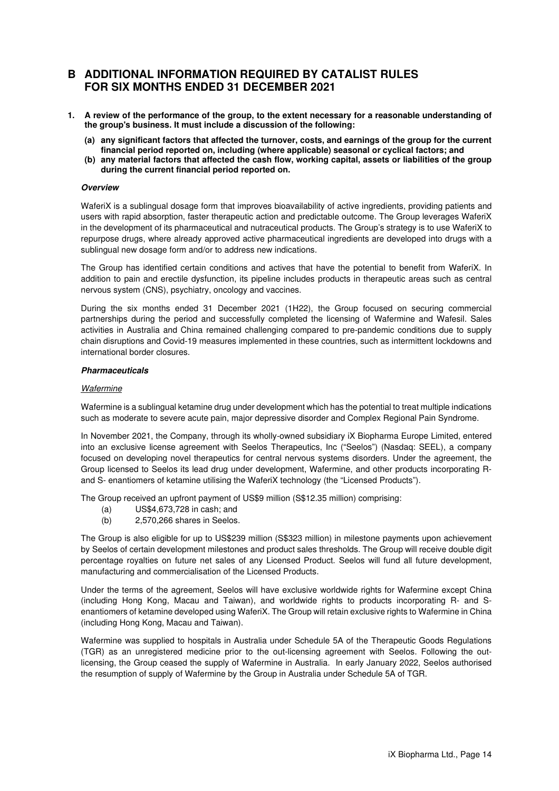### **B ADDITIONAL INFORMATION REQUIRED BY CATALIST RULES FOR SIX MONTHS ENDED 31 DECEMBER 2021**

- **1. A review of the performance of the group, to the extent necessary for a reasonable understanding of the group's business. It must include a discussion of the following:** 
	- **(a) any significant factors that affected the turnover, costs, and earnings of the group for the current financial period reported on, including (where applicable) seasonal or cyclical factors; and**
	- **(b) any material factors that affected the cash flow, working capital, assets or liabilities of the group during the current financial period reported on.**

#### **Overview**

WaferiX is a sublingual dosage form that improves bioavailability of active ingredients, providing patients and users with rapid absorption, faster therapeutic action and predictable outcome. The Group leverages WaferiX in the development of its pharmaceutical and nutraceutical products. The Group's strategy is to use WaferiX to repurpose drugs, where already approved active pharmaceutical ingredients are developed into drugs with a sublingual new dosage form and/or to address new indications.

The Group has identified certain conditions and actives that have the potential to benefit from WaferiX. In addition to pain and erectile dysfunction, its pipeline includes products in therapeutic areas such as central nervous system (CNS), psychiatry, oncology and vaccines.

During the six months ended 31 December 2021 (1H22), the Group focused on securing commercial partnerships during the period and successfully completed the licensing of Wafermine and Wafesil. Sales activities in Australia and China remained challenging compared to pre-pandemic conditions due to supply chain disruptions and Covid-19 measures implemented in these countries, such as intermittent lockdowns and international border closures.

#### **Pharmaceuticals**

#### **Wafermine**

Wafermine is a sublingual ketamine drug under development which has the potential to treat multiple indications such as moderate to severe acute pain, major depressive disorder and Complex Regional Pain Syndrome.

In November 2021, the Company, through its wholly-owned subsidiary iX Biopharma Europe Limited, entered into an exclusive license agreement with Seelos Therapeutics, Inc ("Seelos") (Nasdaq: SEEL), a company focused on developing novel therapeutics for central nervous systems disorders. Under the agreement, the Group licensed to Seelos its lead drug under development, Wafermine, and other products incorporating Rand S- enantiomers of ketamine utilising the WaferiX technology (the "Licensed Products").

The Group received an upfront payment of US\$9 million (S\$12.35 million) comprising:

- (a) US\$4,673,728 in cash; and
- (b) 2,570,266 shares in Seelos.

The Group is also eligible for up to US\$239 million (S\$323 million) in milestone payments upon achievement by Seelos of certain development milestones and product sales thresholds. The Group will receive double digit percentage royalties on future net sales of any Licensed Product. Seelos will fund all future development, manufacturing and commercialisation of the Licensed Products.

Under the terms of the agreement, Seelos will have exclusive worldwide rights for Wafermine except China (including Hong Kong, Macau and Taiwan), and worldwide rights to products incorporating R- and Senantiomers of ketamine developed using WaferiX. The Group will retain exclusive rights to Wafermine in China (including Hong Kong, Macau and Taiwan).

Wafermine was supplied to hospitals in Australia under Schedule 5A of the Therapeutic Goods Regulations (TGR) as an unregistered medicine prior to the out-licensing agreement with Seelos. Following the outlicensing, the Group ceased the supply of Wafermine in Australia. In early January 2022, Seelos authorised the resumption of supply of Wafermine by the Group in Australia under Schedule 5A of TGR.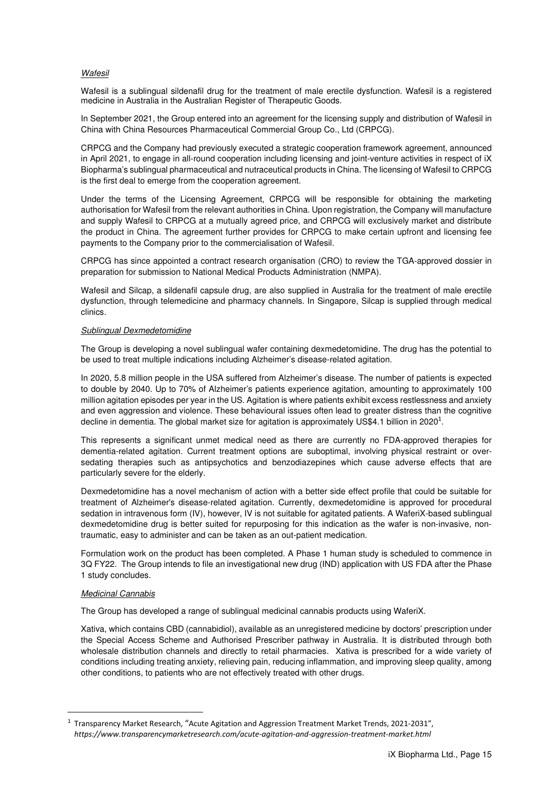#### **Wafesil**

Wafesil is a sublingual sildenafil drug for the treatment of male erectile dysfunction. Wafesil is a registered medicine in Australia in the Australian Register of Therapeutic Goods.

In September 2021, the Group entered into an agreement for the licensing supply and distribution of Wafesil in China with China Resources Pharmaceutical Commercial Group Co., Ltd (CRPCG).

CRPCG and the Company had previously executed a strategic cooperation framework agreement, announced in April 2021, to engage in all-round cooperation including licensing and joint-venture activities in respect of iX Biopharma's sublingual pharmaceutical and nutraceutical products in China. The licensing of Wafesil to CRPCG is the first deal to emerge from the cooperation agreement.

Under the terms of the Licensing Agreement, CRPCG will be responsible for obtaining the marketing authorisation for Wafesil from the relevant authorities in China. Upon registration, the Company will manufacture and supply Wafesil to CRPCG at a mutually agreed price, and CRPCG will exclusively market and distribute the product in China. The agreement further provides for CRPCG to make certain upfront and licensing fee payments to the Company prior to the commercialisation of Wafesil.

CRPCG has since appointed a contract research organisation (CRO) to review the TGA-approved dossier in preparation for submission to National Medical Products Administration (NMPA).

Wafesil and Silcap, a sildenafil capsule drug, are also supplied in Australia for the treatment of male erectile dysfunction, through telemedicine and pharmacy channels. In Singapore, Silcap is supplied through medical clinics.

#### Sublingual Dexmedetomidine

The Group is developing a novel sublingual wafer containing dexmedetomidine. The drug has the potential to be used to treat multiple indications including Alzheimer's disease-related agitation.

In 2020, 5.8 million people in the USA suffered from Alzheimer's disease. The number of patients is expected to double by 2040. Up to 70% of Alzheimer's patients experience agitation, amounting to approximately 100 million agitation episodes per year in the US. Agitation is where patients exhibit excess restlessness and anxiety and even aggression and violence. These behavioural issues often lead to greater distress than the cognitive decline in dementia. The global market size for agitation is approximately US\$4.1 billion in 2020<sup>1</sup>.

This represents a significant unmet medical need as there are currently no FDA-approved therapies for dementia-related agitation. Current treatment options are suboptimal, involving physical restraint or oversedating therapies such as antipsychotics and benzodiazepines which cause adverse effects that are particularly severe for the elderly.

Dexmedetomidine has a novel mechanism of action with a better side effect profile that could be suitable for treatment of Alzheimer's disease-related agitation. Currently, dexmedetomidine is approved for procedural sedation in intravenous form (IV), however, IV is not suitable for agitated patients. A WaferiX-based sublingual dexmedetomidine drug is better suited for repurposing for this indication as the wafer is non-invasive, nontraumatic, easy to administer and can be taken as an out-patient medication.

Formulation work on the product has been completed. A Phase 1 human study is scheduled to commence in 3Q FY22. The Group intends to file an investigational new drug (IND) application with US FDA after the Phase 1 study concludes.

#### Medicinal Cannabis

The Group has developed a range of sublingual medicinal cannabis products using WaferiX.

Xativa, which contains CBD (cannabidiol), available as an unregistered medicine by doctors' prescription under the Special Access Scheme and Authorised Prescriber pathway in Australia. It is distributed through both wholesale distribution channels and directly to retail pharmacies. Xativa is prescribed for a wide variety of conditions including treating anxiety, relieving pain, reducing inflammation, and improving sleep quality, among other conditions, to patients who are not effectively treated with other drugs.

<sup>&</sup>lt;sup>1</sup> Transparency Market Research, "Acute Agitation and Aggression Treatment Market Trends, 2021-2031", *https://www.transparencymarketresearch.com/acute-agitation-and-aggression-treatment-market.html*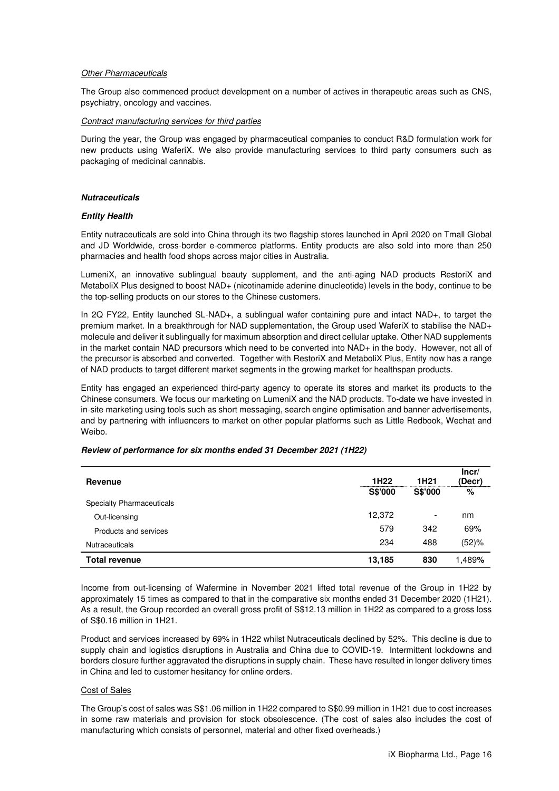#### **Other Pharmaceuticals**

The Group also commenced product development on a number of actives in therapeutic areas such as CNS, psychiatry, oncology and vaccines.

#### Contract manufacturing services for third parties

During the year, the Group was engaged by pharmaceutical companies to conduct R&D formulation work for new products using WaferiX. We also provide manufacturing services to third party consumers such as packaging of medicinal cannabis.

#### **Nutraceuticals**

#### **Entity Health**

Entity nutraceuticals are sold into China through its two flagship stores launched in April 2020 on Tmall Global and JD Worldwide, cross-border e-commerce platforms. Entity products are also sold into more than 250 pharmacies and health food shops across major cities in Australia.

LumeniX, an innovative sublingual beauty supplement, and the anti-aging NAD products RestoriX and MetaboliX Plus designed to boost NAD+ (nicotinamide adenine dinucleotide) levels in the body, continue to be the top-selling products on our stores to the Chinese customers.

In 2Q FY22, Entity launched SL-NAD+, a sublingual wafer containing pure and intact NAD+, to target the premium market. In a breakthrough for NAD supplementation, the Group used WaferiX to stabilise the NAD+ molecule and deliver it sublingually for maximum absorption and direct cellular uptake. Other NAD supplements in the market contain NAD precursors which need to be converted into NAD+ in the body. However, not all of the precursor is absorbed and converted. Together with RestoriX and MetaboliX Plus, Entity now has a range of NAD products to target different market segments in the growing market for healthspan products.

Entity has engaged an experienced third-party agency to operate its stores and market its products to the Chinese consumers. We focus our marketing on LumeniX and the NAD products. To-date we have invested in in-site marketing using tools such as short messaging, search engine optimisation and banner advertisements, and by partnering with influencers to market on other popular platforms such as Little Redbook, Wechat and Weibo.

| Revenue                          | 1H <sub>22</sub><br>1H <sub>21</sub> |                |        |
|----------------------------------|--------------------------------------|----------------|--------|
|                                  | S\$'000                              | <b>S\$'000</b> | %      |
| <b>Specialty Pharmaceuticals</b> |                                      |                |        |
| Out-licensing                    | 12,372                               | -              | nm     |
| Products and services            | 579                                  | 342            | 69%    |
| <b>Nutraceuticals</b>            | 234                                  | 488            | (52)%  |
| <b>Total revenue</b>             | 13,185                               | 830            | 1.489% |

#### **Review of performance for six months ended 31 December 2021 (1H22)**

Income from out-licensing of Wafermine in November 2021 lifted total revenue of the Group in 1H22 by approximately 15 times as compared to that in the comparative six months ended 31 December 2020 (1H21). As a result, the Group recorded an overall gross profit of S\$12.13 million in 1H22 as compared to a gross loss of S\$0.16 million in 1H21.

Product and services increased by 69% in 1H22 whilst Nutraceuticals declined by 52%. This decline is due to supply chain and logistics disruptions in Australia and China due to COVID-19. Intermittent lockdowns and borders closure further aggravated the disruptions in supply chain. These have resulted in longer delivery times in China and led to customer hesitancy for online orders.

#### Cost of Sales

The Group's cost of sales was S\$1.06 million in 1H22 compared to S\$0.99 million in 1H21 due to cost increases in some raw materials and provision for stock obsolescence. (The cost of sales also includes the cost of manufacturing which consists of personnel, material and other fixed overheads.)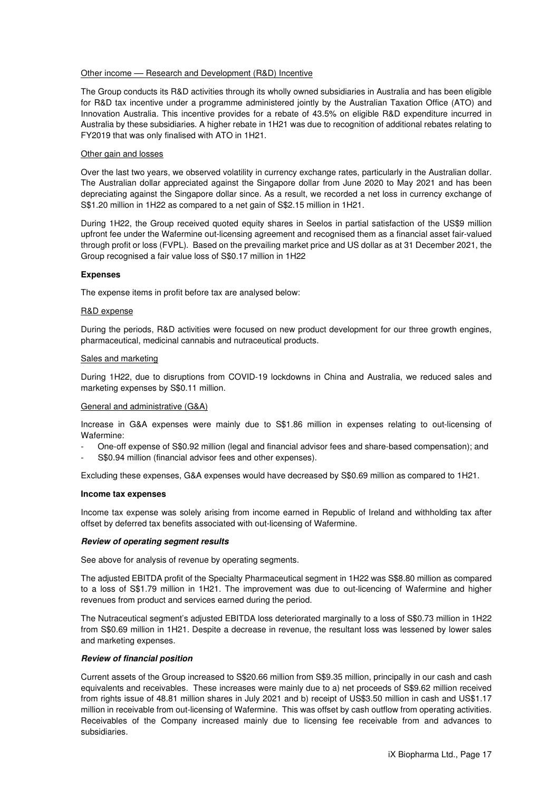#### Other income –– Research and Development (R&D) Incentive

The Group conducts its R&D activities through its wholly owned subsidiaries in Australia and has been eligible for R&D tax incentive under a programme administered jointly by the Australian Taxation Office (ATO) and Innovation Australia. This incentive provides for a rebate of 43.5% on eligible R&D expenditure incurred in Australia by these subsidiaries. A higher rebate in 1H21 was due to recognition of additional rebates relating to FY2019 that was only finalised with ATO in 1H21.

#### Other gain and losses

Over the last two years, we observed volatility in currency exchange rates, particularly in the Australian dollar. The Australian dollar appreciated against the Singapore dollar from June 2020 to May 2021 and has been depreciating against the Singapore dollar since. As a result, we recorded a net loss in currency exchange of S\$1.20 million in 1H22 as compared to a net gain of S\$2.15 million in 1H21.

During 1H22, the Group received quoted equity shares in Seelos in partial satisfaction of the US\$9 million upfront fee under the Wafermine out-licensing agreement and recognised them as a financial asset fair-valued through profit or loss (FVPL). Based on the prevailing market price and US dollar as at 31 December 2021, the Group recognised a fair value loss of S\$0.17 million in 1H22

#### **Expenses**

The expense items in profit before tax are analysed below:

#### R&D expense

During the periods, R&D activities were focused on new product development for our three growth engines, pharmaceutical, medicinal cannabis and nutraceutical products.

#### Sales and marketing

During 1H22, due to disruptions from COVID-19 lockdowns in China and Australia, we reduced sales and marketing expenses by S\$0.11 million.

#### General and administrative (G&A)

Increase in G&A expenses were mainly due to S\$1.86 million in expenses relating to out-licensing of Wafermine:

- One-off expense of S\$0.92 million (legal and financial advisor fees and share-based compensation); and
- S\$0.94 million (financial advisor fees and other expenses).

Excluding these expenses, G&A expenses would have decreased by S\$0.69 million as compared to 1H21.

#### **Income tax expenses**

Income tax expense was solely arising from income earned in Republic of Ireland and withholding tax after offset by deferred tax benefits associated with out-licensing of Wafermine.

#### **Review of operating segment results**

See above for analysis of revenue by operating segments.

The adjusted EBITDA profit of the Specialty Pharmaceutical segment in 1H22 was S\$8.80 million as compared to a loss of S\$1.79 million in 1H21. The improvement was due to out-licencing of Wafermine and higher revenues from product and services earned during the period.

The Nutraceutical segment's adjusted EBITDA loss deteriorated marginally to a loss of S\$0.73 million in 1H22 from S\$0.69 million in 1H21. Despite a decrease in revenue, the resultant loss was lessened by lower sales and marketing expenses.

#### **Review of financial position**

Current assets of the Group increased to S\$20.66 million from S\$9.35 million, principally in our cash and cash equivalents and receivables. These increases were mainly due to a) net proceeds of S\$9.62 million received from rights issue of 48.81 million shares in July 2021 and b) receipt of US\$3.50 million in cash and US\$1.17 million in receivable from out-licensing of Wafermine. This was offset by cash outflow from operating activities. Receivables of the Company increased mainly due to licensing fee receivable from and advances to subsidiaries.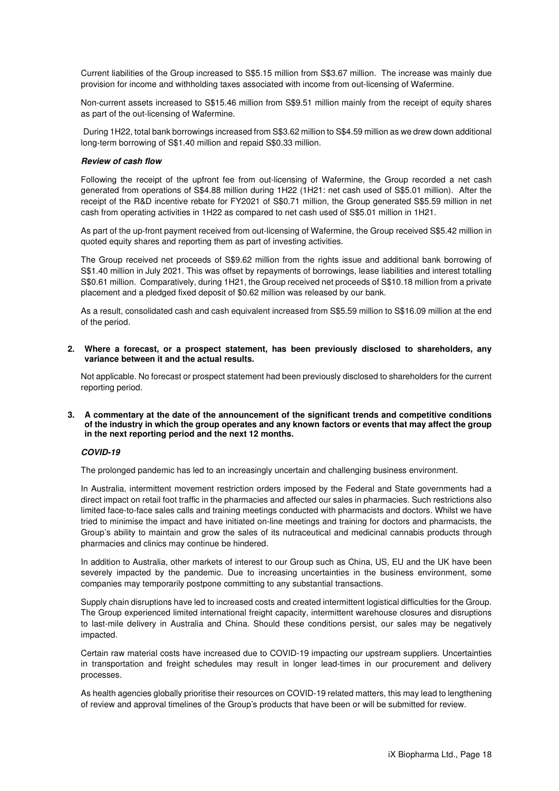Current liabilities of the Group increased to S\$5.15 million from S\$3.67 million. The increase was mainly due provision for income and withholding taxes associated with income from out-licensing of Wafermine.

Non-current assets increased to S\$15.46 million from S\$9.51 million mainly from the receipt of equity shares as part of the out-licensing of Wafermine.

 During 1H22, total bank borrowings increased from S\$3.62 million to S\$4.59 million as we drew down additional long-term borrowing of S\$1.40 million and repaid S\$0.33 million.

#### **Review of cash flow**

Following the receipt of the upfront fee from out-licensing of Wafermine, the Group recorded a net cash generated from operations of S\$4.88 million during 1H22 (1H21: net cash used of S\$5.01 million). After the receipt of the R&D incentive rebate for FY2021 of S\$0.71 million, the Group generated S\$5.59 million in net cash from operating activities in 1H22 as compared to net cash used of S\$5.01 million in 1H21.

As part of the up-front payment received from out-licensing of Wafermine, the Group received S\$5.42 million in quoted equity shares and reporting them as part of investing activities.

The Group received net proceeds of S\$9.62 million from the rights issue and additional bank borrowing of S\$1.40 million in July 2021. This was offset by repayments of borrowings, lease liabilities and interest totalling S\$0.61 million. Comparatively, during 1H21, the Group received net proceeds of S\$10.18 million from a private placement and a pledged fixed deposit of \$0.62 million was released by our bank.

As a result, consolidated cash and cash equivalent increased from S\$5.59 million to S\$16.09 million at the end of the period.

**2. Where a forecast, or a prospect statement, has been previously disclosed to shareholders, any variance between it and the actual results.** 

Not applicable. No forecast or prospect statement had been previously disclosed to shareholders for the current reporting period.

**3. A commentary at the date of the announcement of the significant trends and competitive conditions of the industry in which the group operates and any known factors or events that may affect the group in the next reporting period and the next 12 months.** 

#### **COVID-19**

The prolonged pandemic has led to an increasingly uncertain and challenging business environment.

In Australia, intermittent movement restriction orders imposed by the Federal and State governments had a direct impact on retail foot traffic in the pharmacies and affected our sales in pharmacies. Such restrictions also limited face-to-face sales calls and training meetings conducted with pharmacists and doctors. Whilst we have tried to minimise the impact and have initiated on-line meetings and training for doctors and pharmacists, the Group's ability to maintain and grow the sales of its nutraceutical and medicinal cannabis products through pharmacies and clinics may continue be hindered.

In addition to Australia, other markets of interest to our Group such as China, US, EU and the UK have been severely impacted by the pandemic. Due to increasing uncertainties in the business environment, some companies may temporarily postpone committing to any substantial transactions.

Supply chain disruptions have led to increased costs and created intermittent logistical difficulties for the Group. The Group experienced limited international freight capacity, intermittent warehouse closures and disruptions to last-mile delivery in Australia and China. Should these conditions persist, our sales may be negatively impacted.

Certain raw material costs have increased due to COVID-19 impacting our upstream suppliers. Uncertainties in transportation and freight schedules may result in longer lead-times in our procurement and delivery processes.

As health agencies globally prioritise their resources on COVID-19 related matters, this may lead to lengthening of review and approval timelines of the Group's products that have been or will be submitted for review.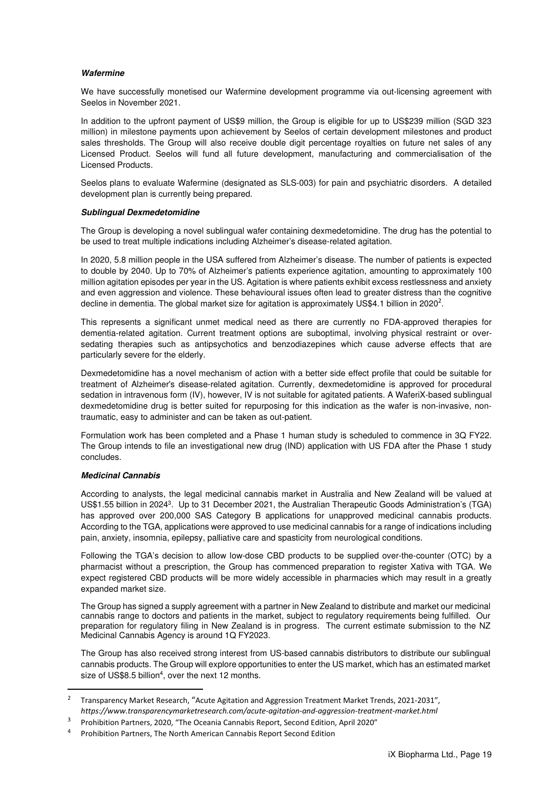#### **Wafermine**

We have successfully monetised our Wafermine development programme via out-licensing agreement with Seelos in November 2021.

In addition to the upfront payment of US\$9 million, the Group is eligible for up to US\$239 million (SGD 323 million) in milestone payments upon achievement by Seelos of certain development milestones and product sales thresholds. The Group will also receive double digit percentage royalties on future net sales of any Licensed Product. Seelos will fund all future development, manufacturing and commercialisation of the Licensed Products.

Seelos plans to evaluate Wafermine (designated as SLS-003) for pain and psychiatric disorders. A detailed development plan is currently being prepared.

#### **Sublingual Dexmedetomidine**

The Group is developing a novel sublingual wafer containing dexmedetomidine. The drug has the potential to be used to treat multiple indications including Alzheimer's disease-related agitation.

In 2020, 5.8 million people in the USA suffered from Alzheimer's disease. The number of patients is expected to double by 2040. Up to 70% of Alzheimer's patients experience agitation, amounting to approximately 100 million agitation episodes per year in the US. Agitation is where patients exhibit excess restlessness and anxiety and even aggression and violence. These behavioural issues often lead to greater distress than the cognitive decline in dementia. The global market size for agitation is approximately US\$4.1 billion in 2020<sup>2</sup>.

This represents a significant unmet medical need as there are currently no FDA-approved therapies for dementia-related agitation. Current treatment options are suboptimal, involving physical restraint or oversedating therapies such as antipsychotics and benzodiazepines which cause adverse effects that are particularly severe for the elderly.

Dexmedetomidine has a novel mechanism of action with a better side effect profile that could be suitable for treatment of Alzheimer's disease-related agitation. Currently, dexmedetomidine is approved for procedural sedation in intravenous form (IV), however, IV is not suitable for agitated patients. A WaferiX-based sublingual dexmedetomidine drug is better suited for repurposing for this indication as the wafer is non-invasive, nontraumatic, easy to administer and can be taken as out-patient.

Formulation work has been completed and a Phase 1 human study is scheduled to commence in 3Q FY22. The Group intends to file an investigational new drug (IND) application with US FDA after the Phase 1 study concludes.

#### **Medicinal Cannabis**

According to analysts, the legal medicinal cannabis market in Australia and New Zealand will be valued at US\$1.55 billion in 2024<sup>3</sup>. Up to 31 December 2021, the Australian Therapeutic Goods Administration's (TGA) has approved over 200,000 SAS Category B applications for unapproved medicinal cannabis products. According to the TGA, applications were approved to use medicinal cannabis for a range of indications including pain, anxiety, insomnia, epilepsy, palliative care and spasticity from neurological conditions.

Following the TGA's decision to allow low-dose CBD products to be supplied over-the-counter (OTC) by a pharmacist without a prescription, the Group has commenced preparation to register Xativa with TGA. We expect registered CBD products will be more widely accessible in pharmacies which may result in a greatly expanded market size.

The Group has signed a supply agreement with a partner in New Zealand to distribute and market our medicinal cannabis range to doctors and patients in the market, subject to regulatory requirements being fulfilled. Our preparation for regulatory filing in New Zealand is in progress. The current estimate submission to the NZ Medicinal Cannabis Agency is around 1Q FY2023.

The Group has also received strong interest from US-based cannabis distributors to distribute our sublingual cannabis products. The Group will explore opportunities to enter the US market, which has an estimated market size of US\$8.5 billion<sup>4</sup>, over the next 12 months.

<sup>2</sup> Transparency Market Research, "Acute Agitation and Aggression Treatment Market Trends, 2021-2031", *https://www.transparencymarketresearch.com/acute-agitation-and-aggression-treatment-market.html*

<sup>3</sup> Prohibition Partners, 2020, "The Oceania Cannabis Report, Second Edition, April 2020"

<sup>4</sup> Prohibition Partners, The North American Cannabis Report Second Edition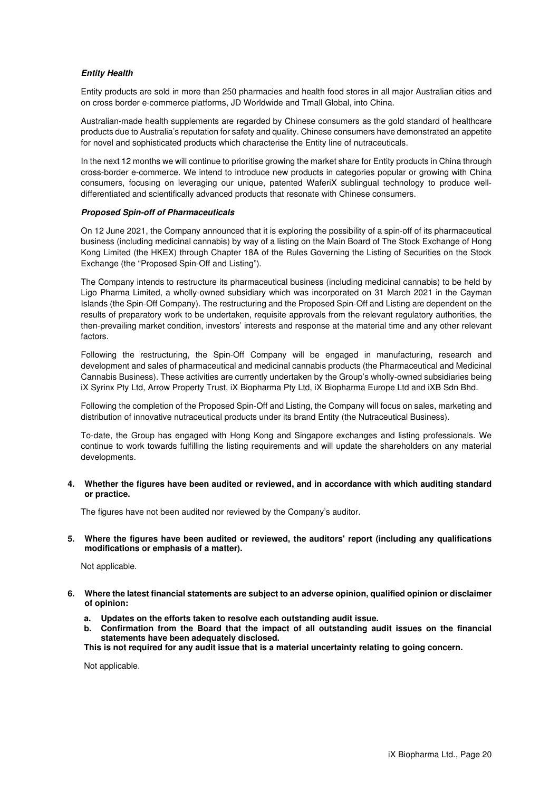#### **Entity Health**

Entity products are sold in more than 250 pharmacies and health food stores in all major Australian cities and on cross border e-commerce platforms, JD Worldwide and Tmall Global, into China.

Australian-made health supplements are regarded by Chinese consumers as the gold standard of healthcare products due to Australia's reputation for safety and quality. Chinese consumers have demonstrated an appetite for novel and sophisticated products which characterise the Entity line of nutraceuticals.

In the next 12 months we will continue to prioritise growing the market share for Entity products in China through cross-border e-commerce. We intend to introduce new products in categories popular or growing with China consumers, focusing on leveraging our unique, patented WaferiX sublingual technology to produce welldifferentiated and scientifically advanced products that resonate with Chinese consumers.

#### **Proposed Spin-off of Pharmaceuticals**

On 12 June 2021, the Company announced that it is exploring the possibility of a spin-off of its pharmaceutical business (including medicinal cannabis) by way of a listing on the Main Board of The Stock Exchange of Hong Kong Limited (the HKEX) through Chapter 18A of the Rules Governing the Listing of Securities on the Stock Exchange (the "Proposed Spin-Off and Listing").

The Company intends to restructure its pharmaceutical business (including medicinal cannabis) to be held by Ligo Pharma Limited, a wholly-owned subsidiary which was incorporated on 31 March 2021 in the Cayman Islands (the Spin-Off Company). The restructuring and the Proposed Spin-Off and Listing are dependent on the results of preparatory work to be undertaken, requisite approvals from the relevant regulatory authorities, the then-prevailing market condition, investors' interests and response at the material time and any other relevant factors.

Following the restructuring, the Spin-Off Company will be engaged in manufacturing, research and development and sales of pharmaceutical and medicinal cannabis products (the Pharmaceutical and Medicinal Cannabis Business). These activities are currently undertaken by the Group's wholly-owned subsidiaries being iX Syrinx Pty Ltd, Arrow Property Trust, iX Biopharma Pty Ltd, iX Biopharma Europe Ltd and iXB Sdn Bhd.

Following the completion of the Proposed Spin-Off and Listing, the Company will focus on sales, marketing and distribution of innovative nutraceutical products under its brand Entity (the Nutraceutical Business).

To-date, the Group has engaged with Hong Kong and Singapore exchanges and listing professionals. We continue to work towards fulfilling the listing requirements and will update the shareholders on any material developments.

**4. Whether the figures have been audited or reviewed, and in accordance with which auditing standard or practice.** 

The figures have not been audited nor reviewed by the Company's auditor.

**5. Where the figures have been audited or reviewed, the auditors' report (including any qualifications modifications or emphasis of a matter).** 

Not applicable.

- **6. Where the latest financial statements are subject to an adverse opinion, qualified opinion or disclaimer of opinion:** 
	- **a. Updates on the efforts taken to resolve each outstanding audit issue.**
	- **b. Confirmation from the Board that the impact of all outstanding audit issues on the financial statements have been adequately disclosed.**

**This is not required for any audit issue that is a material uncertainty relating to going concern.** 

Not applicable.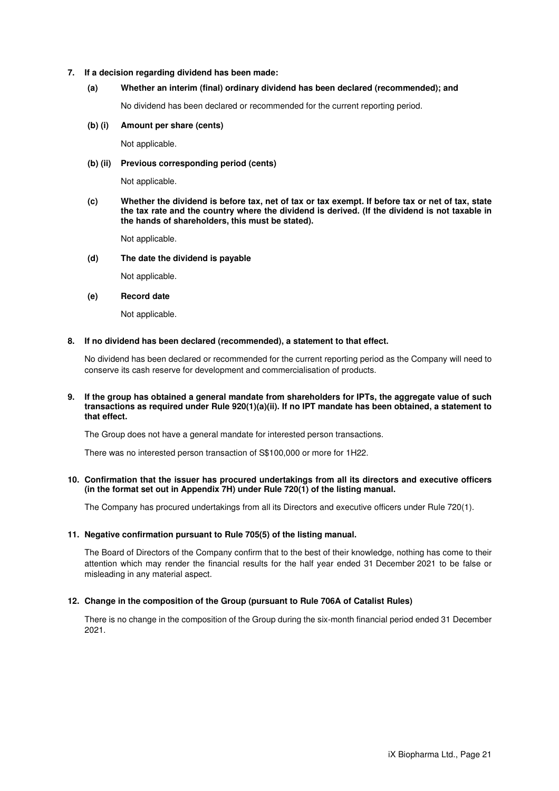#### **7. If a decision regarding dividend has been made:**

#### **(a) Whether an interim (final) ordinary dividend has been declared (recommended); and**

No dividend has been declared or recommended for the current reporting period.

#### **(b) (i) Amount per share (cents)**

Not applicable.

#### **(b) (ii) Previous corresponding period (cents)**

Not applicable.

**(c) Whether the dividend is before tax, net of tax or tax exempt. If before tax or net of tax, state the tax rate and the country where the dividend is derived. (If the dividend is not taxable in the hands of shareholders, this must be stated).** 

Not applicable.

#### **(d) The date the dividend is payable**

Not applicable.

#### **(e) Record date**

Not applicable.

#### **8. If no dividend has been declared (recommended), a statement to that effect.**

No dividend has been declared or recommended for the current reporting period as the Company will need to conserve its cash reserve for development and commercialisation of products.

#### **9. If the group has obtained a general mandate from shareholders for IPTs, the aggregate value of such transactions as required under Rule 920(1)(a)(ii). If no IPT mandate has been obtained, a statement to that effect.**

The Group does not have a general mandate for interested person transactions.

There was no interested person transaction of S\$100,000 or more for 1H22.

#### **10. Confirmation that the issuer has procured undertakings from all its directors and executive officers (in the format set out in Appendix 7H) under Rule 720(1) of the listing manual.**

The Company has procured undertakings from all its Directors and executive officers under Rule 720(1).

#### **11. Negative confirmation pursuant to Rule 705(5) of the listing manual.**

The Board of Directors of the Company confirm that to the best of their knowledge, nothing has come to their attention which may render the financial results for the half year ended 31 December 2021 to be false or misleading in any material aspect.

#### **12. Change in the composition of the Group (pursuant to Rule 706A of Catalist Rules)**

There is no change in the composition of the Group during the six-month financial period ended 31 December 2021.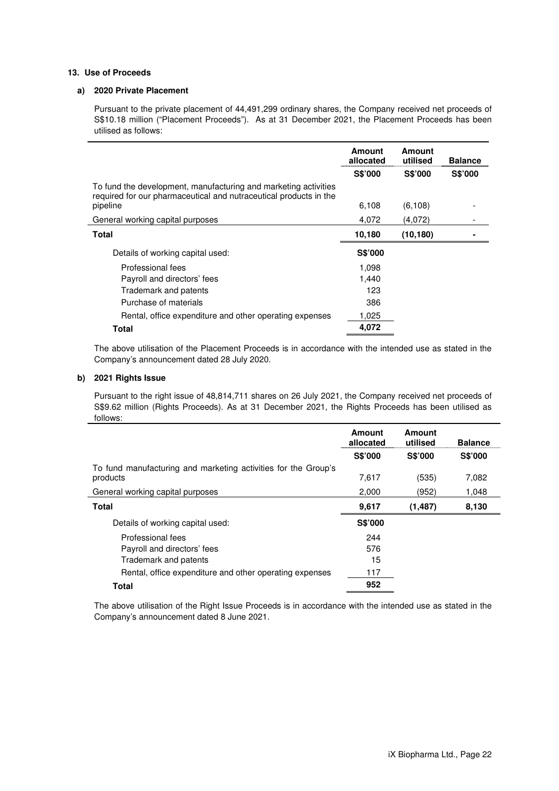#### **13. Use of Proceeds**

#### **a) 2020 Private Placement**

Pursuant to the private placement of 44,491,299 ordinary shares, the Company received net proceeds of S\$10.18 million ("Placement Proceeds"). As at 31 December 2021, the Placement Proceeds has been utilised as follows:

|                                                                                                                                      | <b>Amount</b><br>allocated | Amount<br>utilised | <b>Balance</b> |
|--------------------------------------------------------------------------------------------------------------------------------------|----------------------------|--------------------|----------------|
|                                                                                                                                      | <b>S\$'000</b>             | <b>S\$'000</b>     | <b>S\$'000</b> |
| To fund the development, manufacturing and marketing activities<br>required for our pharmaceutical and nutraceutical products in the |                            |                    |                |
| pipeline                                                                                                                             | 6,108                      | (6, 108)           |                |
| General working capital purposes                                                                                                     | 4,072                      | (4,072)            |                |
| Total                                                                                                                                | 10,180                     | (10, 180)          |                |
| Details of working capital used:                                                                                                     | S\$'000                    |                    |                |
| Professional fees                                                                                                                    | 1,098                      |                    |                |
| Payroll and directors' fees                                                                                                          | 1.440                      |                    |                |
| Trademark and patents                                                                                                                | 123                        |                    |                |
| Purchase of materials                                                                                                                | 386                        |                    |                |
| Rental, office expenditure and other operating expenses                                                                              | 1,025                      |                    |                |
| Total                                                                                                                                | 4,072                      |                    |                |

The above utilisation of the Placement Proceeds is in accordance with the intended use as stated in the Company's announcement dated 28 July 2020.

#### **b) 2021 Rights Issue**

Pursuant to the right issue of 48,814,711 shares on 26 July 2021, the Company received net proceeds of S\$9.62 million (Rights Proceeds). As at 31 December 2021, the Rights Proceeds has been utilised as follows:

|                                                                            | Amount<br>allocated | Amount<br>utilised | <b>Balance</b> |
|----------------------------------------------------------------------------|---------------------|--------------------|----------------|
|                                                                            | <b>S\$'000</b>      | S\$'000            | S\$'000        |
| To fund manufacturing and marketing activities for the Group's<br>products | 7.617               | (535)              | 7,082          |
| General working capital purposes                                           | 2,000               | (952)              | 1,048          |
| <b>Total</b>                                                               | 9,617               | (1, 487)           | 8,130          |
| Details of working capital used:                                           | S\$'000             |                    |                |
| Professional fees                                                          | 244                 |                    |                |
| Payroll and directors' fees                                                | 576                 |                    |                |
| Trademark and patents                                                      | 15                  |                    |                |
| Rental, office expenditure and other operating expenses                    | 117                 |                    |                |
| <b>Total</b>                                                               | 952                 |                    |                |

The above utilisation of the Right Issue Proceeds is in accordance with the intended use as stated in the Company's announcement dated 8 June 2021.